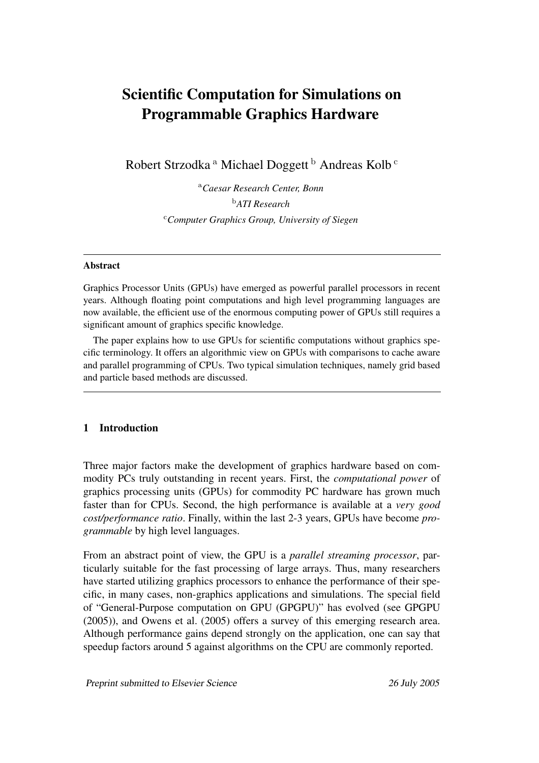# **Scientific Computation for Simulations on Programmable Graphics Hardware**

Robert Strzodka<sup>a</sup> Michael Doggett <sup>b</sup> Andreas Kolb<sup>c</sup>

<sup>a</sup>*Caesar Research Center, Bonn* <sup>b</sup>*ATI Research* <sup>c</sup>*Computer Graphics Group, University of Siegen*

### **Abstract**

Graphics Processor Units (GPUs) have emerged as powerful parallel processors in recent years. Although floating point computations and high level programming languages are now available, the efficient use of the enormous computing power of GPUs still requires a significant amount of graphics specific knowledge.

The paper explains how to use GPUs for scientific computations without graphics specific terminology. It offers an algorithmic view on GPUs with comparisons to cache aware and parallel programming of CPUs. Two typical simulation techniques, namely grid based and particle based methods are discussed.

# **1 Introduction**

Three major factors make the development of graphics hardware based on commodity PCs truly outstanding in recent years. First, the *computational power* of graphics processing units (GPUs) for commodity PC hardware has grown much faster than for CPUs. Second, the high performance is available at a *very good cost/performance ratio*. Finally, within the last 2-3 years, GPUs have become *programmable* by high level languages.

From an abstract point of view, the GPU is a *parallel streaming processor*, particularly suitable for the fast processing of large arrays. Thus, many researchers have started utilizing graphics processors to enhance the performance of their specific, in many cases, non-graphics applications and simulations. The special field of "General-Purpose computation on GPU (GPGPU)" has evolved (see GPGPU (2005)), and Owens et al. (2005) offers a survey of this emerging research area. Although performance gains depend strongly on the application, one can say that speedup factors around 5 against algorithms on the CPU are commonly reported.

Preprint submitted to Elsevier Science 26 July 2005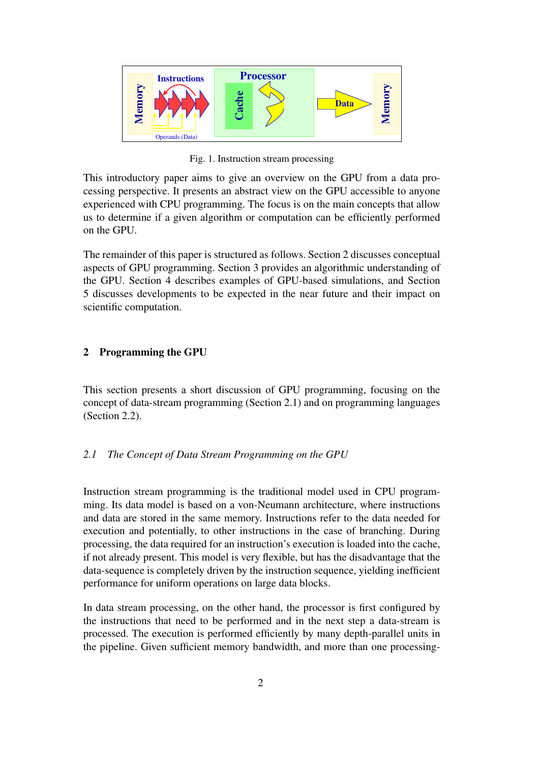

Fig. 1. Instruction stream processing

This introductory paper aims to give an overview on the GPU from a data processing perspective. It presents an abstract view on the GPU accessible to anyone experienced with CPU programming. The focus is on the main concepts that allow us to determine if a given algorithm or computation can be efficiently performed on the GPU.

The remainder of this paper is structured as follows. Section 2 discusses conceptual aspects of GPU programming. Section 3 provides an algorithmic understanding of the GPU. Section 4 describes examples of GPU-based simulations, and Section 5 discusses developments to be expected in the near future and their impact on scientific computation.

## **2 Programming the GPU**

This section presents a short discussion of GPU programming, focusing on the concept of data-stream programming (Section 2.1) and on programming languages (Section 2.2).

### *2.1 The Concept of Data Stream Programming on the GPU*

Instruction stream programming is the traditional model used in CPU programming. Its data model is based on a von-Neumann architecture, where instructions and data are stored in the same memory. Instructions refer to the data needed for execution and potentially, to other instructions in the case of branching. During processing, the data required for an instruction's execution is loaded into the cache, if not already present. This model is very flexible, but has the disadvantage that the data-sequence is completely driven by the instruction sequence, yielding inefficient performance for uniform operations on large data blocks.

In data stream processing, on the other hand, the processor is first configured by the instructions that need to be performed and in the next step a data-stream is processed. The execution is performed efficiently by many depth-parallel units in the pipeline. Given sufficient memory bandwidth, and more than one processing-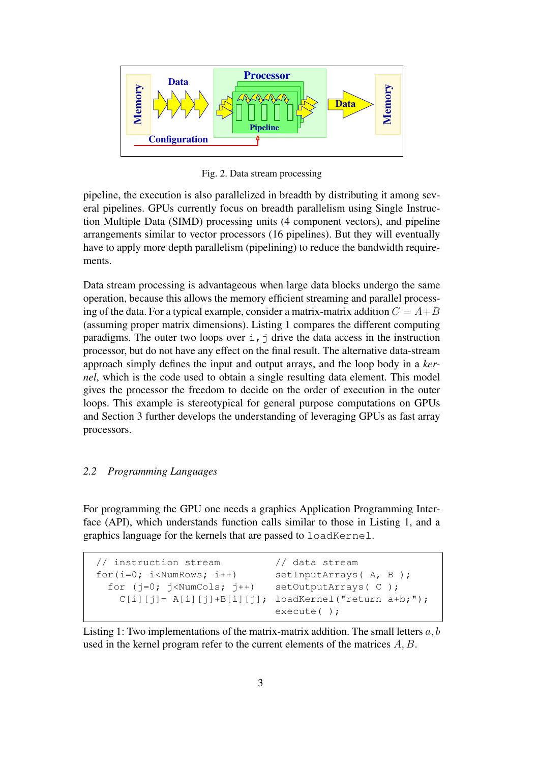

Fig. 2. Data stream processing

pipeline, the execution is also parallelized in breadth by distributing it among several pipelines. GPUs currently focus on breadth parallelism using Single Instruction Multiple Data (SIMD) processing units (4 component vectors), and pipeline arrangements similar to vector processors (16 pipelines). But they will eventually have to apply more depth parallelism (pipelining) to reduce the bandwidth requirements.

Data stream processing is advantageous when large data blocks undergo the same operation, because this allows the memory efficient streaming and parallel processing of the data. For a typical example, consider a matrix-matrix addition  $C = A + B$ (assuming proper matrix dimensions). Listing 1 compares the different computing paradigms. The outer two loops over  $\pm$ ,  $\pm$  drive the data access in the instruction processor, but do not have any effect on the final result. The alternative data-stream approach simply defines the input and output arrays, and the loop body in a *kernel*, which is the code used to obtain a single resulting data element. This model gives the processor the freedom to decide on the order of execution in the outer loops. This example is stereotypical for general purpose computations on GPUs and Section 3 further develops the understanding of leveraging GPUs as fast array processors.

# *2.2 Programming Languages*

For programming the GPU one needs a graphics Application Programming Interface (API), which understands function calls similar to those in Listing 1, and a graphics language for the kernels that are passed to loadKernel.

```
// instruction stream
for(i=0; i<NumRows; i++)
  for (j=0; j<NumCols; j++)C[i][j] = A[i][j] + B[i][j]; loadKernel("return a+b;");
                               // data stream
                               setInputArrays(A, B);
                               setOutputArrays( C );
                               execute( );
```
Listing 1: Two implementations of the matrix-matrix addition. The small letters  $a, b$ used in the kernel program refer to the current elements of the matrices A, B.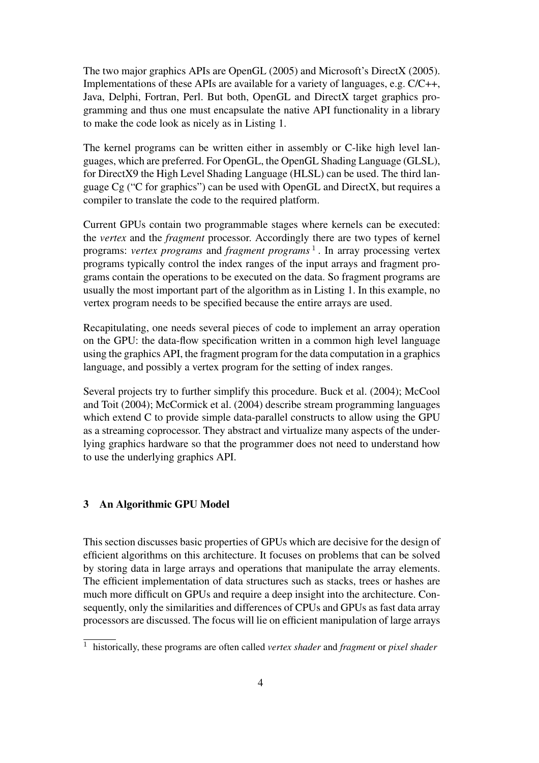The two major graphics APIs are OpenGL (2005) and Microsoft's DirectX (2005). Implementations of these APIs are available for a variety of languages, e.g. C/C++, Java, Delphi, Fortran, Perl. But both, OpenGL and DirectX target graphics programming and thus one must encapsulate the native API functionality in a library to make the code look as nicely as in Listing 1.

The kernel programs can be written either in assembly or C-like high level languages, which are preferred. For OpenGL, the OpenGL Shading Language (GLSL), for DirectX9 the High Level Shading Language (HLSL) can be used. The third language Cg ("C for graphics") can be used with OpenGL and DirectX, but requires a compiler to translate the code to the required platform.

Current GPUs contain two programmable stages where kernels can be executed: the *vertex* and the *fragment* processor. Accordingly there are two types of kernel programs: *vertex programs* and *fragment programs*<sup>1</sup>. In array processing vertex programs typically control the index ranges of the input arrays and fragment programs contain the operations to be executed on the data. So fragment programs are usually the most important part of the algorithm as in Listing 1. In this example, no vertex program needs to be specified because the entire arrays are used.

Recapitulating, one needs several pieces of code to implement an array operation on the GPU: the data-flow specification written in a common high level language using the graphics API, the fragment program for the data computation in a graphics language, and possibly a vertex program for the setting of index ranges.

Several projects try to further simplify this procedure. Buck et al. (2004); McCool and Toit (2004); McCormick et al. (2004) describe stream programming languages which extend C to provide simple data-parallel constructs to allow using the GPU as a streaming coprocessor. They abstract and virtualize many aspects of the underlying graphics hardware so that the programmer does not need to understand how to use the underlying graphics API.

## **3 An Algorithmic GPU Model**

This section discusses basic properties of GPUs which are decisive for the design of efficient algorithms on this architecture. It focuses on problems that can be solved by storing data in large arrays and operations that manipulate the array elements. The efficient implementation of data structures such as stacks, trees or hashes are much more difficult on GPUs and require a deep insight into the architecture. Consequently, only the similarities and differences of CPUs and GPUs as fast data array processors are discussed. The focus will lie on efficient manipulation of large arrays

<sup>1</sup> historically, these programs are often called *vertex shader* and *fragment* or *pixel shader*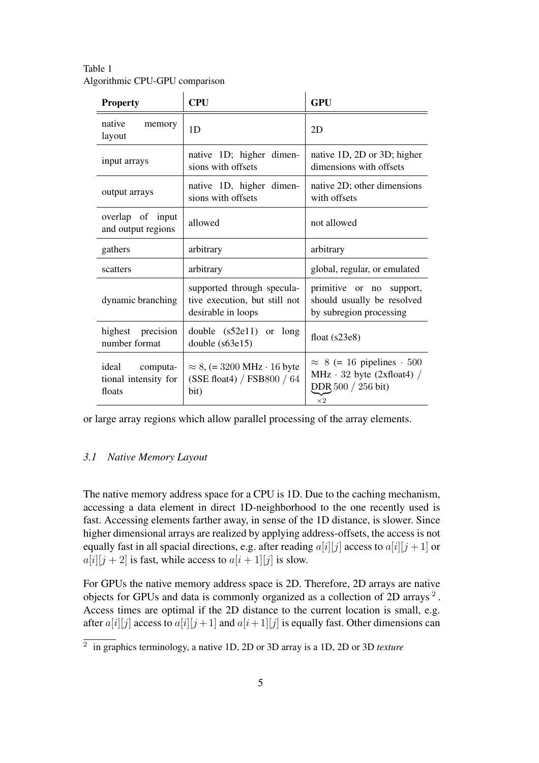Table 1 Algorithmic CPU-GPU comparison

| <b>Property</b>                                     | <b>CPU</b>                                                                        | <b>GPU</b>                                                                                                      |
|-----------------------------------------------------|-----------------------------------------------------------------------------------|-----------------------------------------------------------------------------------------------------------------|
| native<br>memory<br>layout                          | 1D                                                                                | 2D                                                                                                              |
| input arrays                                        | native 1D; higher dimen-<br>sions with offsets                                    | native 1D, 2D or 3D; higher<br>dimensions with offsets                                                          |
| output arrays                                       | native 1D, higher dimen-<br>sions with offsets                                    | native 2D; other dimensions<br>with offsets                                                                     |
| overlap of input<br>and output regions              | allowed                                                                           | not allowed                                                                                                     |
| gathers                                             | arbitrary                                                                         | arbitrary                                                                                                       |
| scatters                                            | arbitrary                                                                         | global, regular, or emulated                                                                                    |
| dynamic branching                                   | supported through specula-<br>tive execution, but still not<br>desirable in loops | primitive or no support,<br>should usually be resolved<br>by subregion processing                               |
| highest precision<br>number format                  | double $(s52e11)$ or long<br>double $(s63e15)$                                    | float $(s23e8)$                                                                                                 |
| ideal<br>computa-<br>tional intensity for<br>floats | $\approx 8$ , (= 3200 MHz · 16 byte<br>(SSE float4) / FSB800 / 64<br>bit)         | $\approx$ 8 (= 16 pipelines $\cdot$ 500<br>MHz $\cdot$ 32 byte (2xfloat4) /<br>DDR 500 / 256 bit)<br>$\times 2$ |

or large array regions which allow parallel processing of the array elements.

## *3.1 Native Memory Layout*

The native memory address space for a CPU is 1D. Due to the caching mechanism, accessing a data element in direct 1D-neighborhood to the one recently used is fast. Accessing elements farther away, in sense of the 1D distance, is slower. Since higher dimensional arrays are realized by applying address-offsets, the access is not equally fast in all spacial directions, e.g. after reading  $a[i][j]$  access to  $a[i][j+1]$  or  $a[i][j + 2]$  is fast, while access to  $a[i + 1][j]$  is slow.

For GPUs the native memory address space is 2D. Therefore, 2D arrays are native objects for GPUs and data is commonly organized as a collection of 2D arrays<sup>2</sup>. Access times are optimal if the 2D distance to the current location is small, e.g. after  $a[i][j]$  access to  $a[i][j+1]$  and  $a[i+1][j]$  is equally fast. Other dimensions can

<sup>2</sup> in graphics terminology, a native 1D, 2D or 3D array is a 1D, 2D or 3D *texture*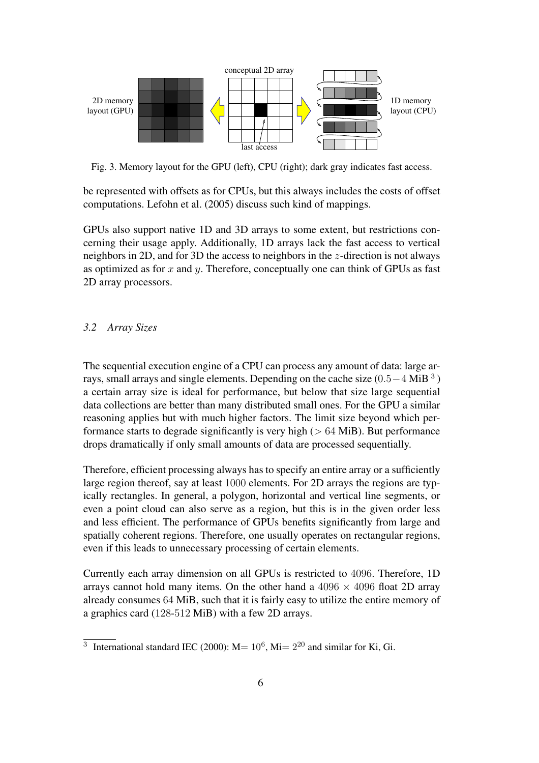

Fig. 3. Memory layout for the GPU (left), CPU (right); dark gray indicates fast access.

be represented with offsets as for CPUs, but this always includes the costs of offset computations. Lefohn et al. (2005) discuss such kind of mappings.

GPUs also support native 1D and 3D arrays to some extent, but restrictions concerning their usage apply. Additionally, 1D arrays lack the fast access to vertical neighbors in 2D, and for 3D the access to neighbors in the z-direction is not always as optimized as for x and  $\gamma$ . Therefore, conceptually one can think of GPUs as fast 2D array processors.

### *3.2 Array Sizes*

The sequential execution engine of a CPU can process any amount of data: large arrays, small arrays and single elements. Depending on the cache size  $(0.5-4 \text{ MiB}^3)$ a certain array size is ideal for performance, but below that size large sequential data collections are better than many distributed small ones. For the GPU a similar reasoning applies but with much higher factors. The limit size beyond which performance starts to degrade significantly is very high ( $> 64$  MiB). But performance drops dramatically if only small amounts of data are processed sequentially.

Therefore, efficient processing always has to specify an entire array or a sufficiently large region thereof, say at least 1000 elements. For 2D arrays the regions are typically rectangles. In general, a polygon, horizontal and vertical line segments, or even a point cloud can also serve as a region, but this is in the given order less and less efficient. The performance of GPUs benefits significantly from large and spatially coherent regions. Therefore, one usually operates on rectangular regions, even if this leads to unnecessary processing of certain elements.

Currently each array dimension on all GPUs is restricted to 4096. Therefore, 1D arrays cannot hold many items. On the other hand a  $4096 \times 4096$  float 2D array already consumes 64 MiB, such that it is fairly easy to utilize the entire memory of a graphics card (128-512 MiB) with a few 2D arrays.

<sup>&</sup>lt;sup>3</sup> International standard IEC (2000):  $M = 10^6$ ,  $Mi = 2^{20}$  and similar for Ki, Gi.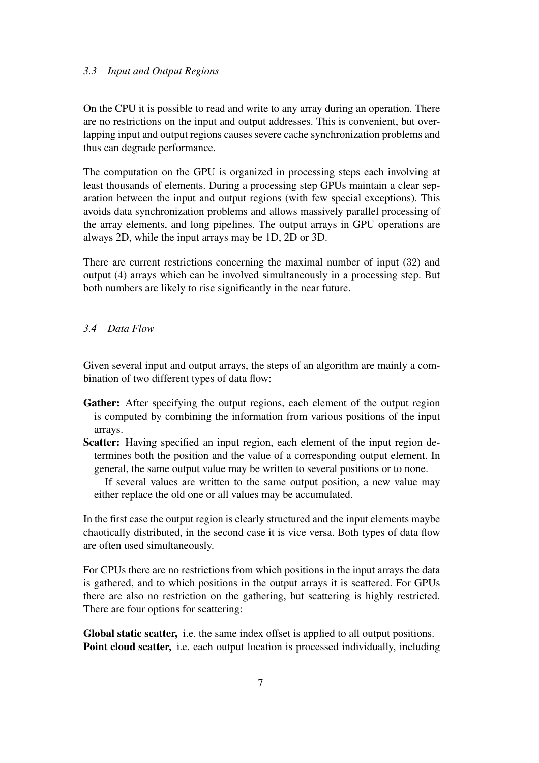#### *3.3 Input and Output Regions*

On the CPU it is possible to read and write to any array during an operation. There are no restrictions on the input and output addresses. This is convenient, but overlapping input and output regions causes severe cache synchronization problems and thus can degrade performance.

The computation on the GPU is organized in processing steps each involving at least thousands of elements. During a processing step GPUs maintain a clear separation between the input and output regions (with few special exceptions). This avoids data synchronization problems and allows massively parallel processing of the array elements, and long pipelines. The output arrays in GPU operations are always 2D, while the input arrays may be 1D, 2D or 3D.

There are current restrictions concerning the maximal number of input (32) and output (4) arrays which can be involved simultaneously in a processing step. But both numbers are likely to rise significantly in the near future.

#### *3.4 Data Flow*

Given several input and output arrays, the steps of an algorithm are mainly a combination of two different types of data flow:

- **Gather:** After specifying the output regions, each element of the output region is computed by combining the information from various positions of the input arrays.
- **Scatter:** Having specified an input region, each element of the input region determines both the position and the value of a corresponding output element. In general, the same output value may be written to several positions or to none.

If several values are written to the same output position, a new value may either replace the old one or all values may be accumulated.

In the first case the output region is clearly structured and the input elements maybe chaotically distributed, in the second case it is vice versa. Both types of data flow are often used simultaneously.

For CPUs there are no restrictions from which positions in the input arrays the data is gathered, and to which positions in the output arrays it is scattered. For GPUs there are also no restriction on the gathering, but scattering is highly restricted. There are four options for scattering:

**Global static scatter,** i.e. the same index offset is applied to all output positions. **Point cloud scatter,** i.e. each output location is processed individually, including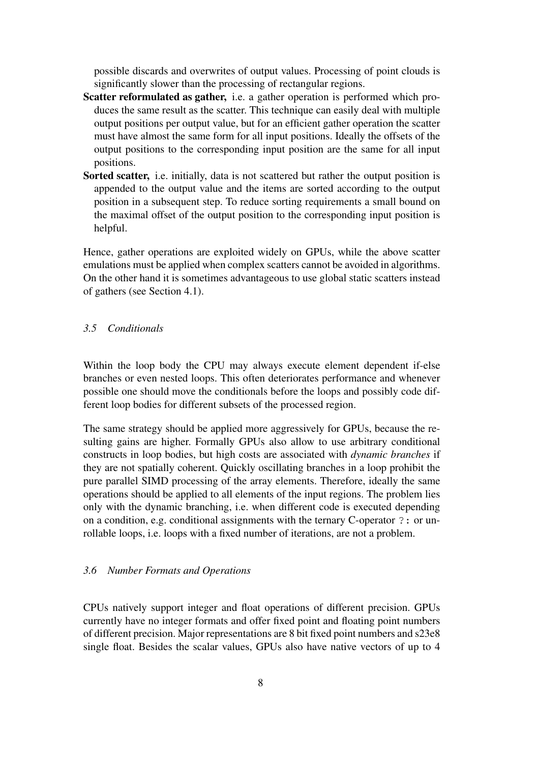possible discards and overwrites of output values. Processing of point clouds is significantly slower than the processing of rectangular regions.

- **Scatter reformulated as gather,** i.e. a gather operation is performed which produces the same result as the scatter. This technique can easily deal with multiple output positions per output value, but for an efficient gather operation the scatter must have almost the same form for all input positions. Ideally the offsets of the output positions to the corresponding input position are the same for all input positions.
- **Sorted scatter,** i.e. initially, data is not scattered but rather the output position is appended to the output value and the items are sorted according to the output position in a subsequent step. To reduce sorting requirements a small bound on the maximal offset of the output position to the corresponding input position is helpful.

Hence, gather operations are exploited widely on GPUs, while the above scatter emulations must be applied when complex scatters cannot be avoided in algorithms. On the other hand it is sometimes advantageous to use global static scatters instead of gathers (see Section 4.1).

## *3.5 Conditionals*

Within the loop body the CPU may always execute element dependent if-else branches or even nested loops. This often deteriorates performance and whenever possible one should move the conditionals before the loops and possibly code different loop bodies for different subsets of the processed region.

The same strategy should be applied more aggressively for GPUs, because the resulting gains are higher. Formally GPUs also allow to use arbitrary conditional constructs in loop bodies, but high costs are associated with *dynamic branches* if they are not spatially coherent. Quickly oscillating branches in a loop prohibit the pure parallel SIMD processing of the array elements. Therefore, ideally the same operations should be applied to all elements of the input regions. The problem lies only with the dynamic branching, i.e. when different code is executed depending on a condition, e.g. conditional assignments with the ternary C-operator ?: or unrollable loops, i.e. loops with a fixed number of iterations, are not a problem.

#### *3.6 Number Formats and Operations*

CPUs natively support integer and float operations of different precision. GPUs currently have no integer formats and offer fixed point and floating point numbers of different precision. Major representations are 8 bit fixed point numbers and s23e8 single float. Besides the scalar values, GPUs also have native vectors of up to 4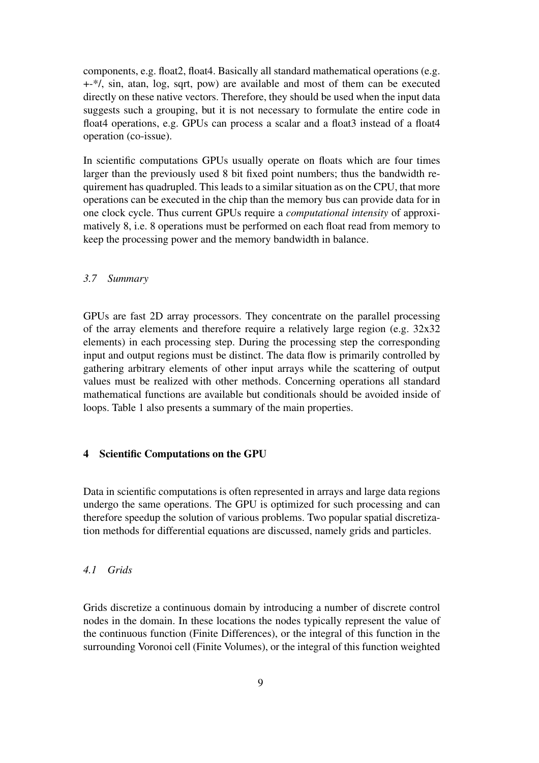components, e.g. float2, float4. Basically all standard mathematical operations (e.g. +-\*/, sin, atan, log, sqrt, pow) are available and most of them can be executed directly on these native vectors. Therefore, they should be used when the input data suggests such a grouping, but it is not necessary to formulate the entire code in float4 operations, e.g. GPUs can process a scalar and a float3 instead of a float4 operation (co-issue).

In scientific computations GPUs usually operate on floats which are four times larger than the previously used 8 bit fixed point numbers; thus the bandwidth requirement has quadrupled. This leads to a similar situation as on the CPU, that more operations can be executed in the chip than the memory bus can provide data for in one clock cycle. Thus current GPUs require a *computational intensity* of approximatively 8, i.e. 8 operations must be performed on each float read from memory to keep the processing power and the memory bandwidth in balance.

#### *3.7 Summary*

GPUs are fast 2D array processors. They concentrate on the parallel processing of the array elements and therefore require a relatively large region (e.g. 32x32 elements) in each processing step. During the processing step the corresponding input and output regions must be distinct. The data flow is primarily controlled by gathering arbitrary elements of other input arrays while the scattering of output values must be realized with other methods. Concerning operations all standard mathematical functions are available but conditionals should be avoided inside of loops. Table 1 also presents a summary of the main properties.

## **4 Scientific Computations on the GPU**

Data in scientific computations is often represented in arrays and large data regions undergo the same operations. The GPU is optimized for such processing and can therefore speedup the solution of various problems. Two popular spatial discretization methods for differential equations are discussed, namely grids and particles.

## *4.1 Grids*

Grids discretize a continuous domain by introducing a number of discrete control nodes in the domain. In these locations the nodes typically represent the value of the continuous function (Finite Differences), or the integral of this function in the surrounding Voronoi cell (Finite Volumes), or the integral of this function weighted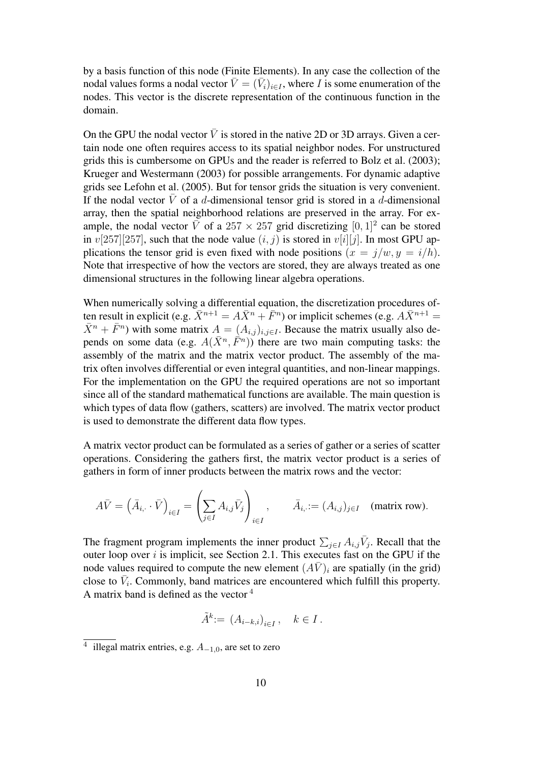by a basis function of this node (Finite Elements). In any case the collection of the nodal values forms a nodal vector  $\bar{V} = (\bar{V}_i)_{i \in I}$ , where *I* is some enumeration of the nodes. This vector is the discrete representation of the continuous function in the domain.

On the GPU the nodal vector  $\overline{V}$  is stored in the native 2D or 3D arrays. Given a certain node one often requires access to its spatial neighbor nodes. For unstructured grids this is cumbersome on GPUs and the reader is referred to Bolz et al. (2003); Krueger and Westermann (2003) for possible arrangements. For dynamic adaptive grids see Lefohn et al. (2005). But for tensor grids the situation is very convenient. If the nodal vector V of a d-dimensional tensor grid is stored in a d-dimensional array, then the spatial neighborhood relations are preserved in the array. For example, the nodal vector  $\bar{V}$  of a 257  $\times$  257 grid discretizing  $[0, 1]^2$  can be stored in  $v[257][257]$ , such that the node value  $(i, j)$  is stored in  $v[i][j]$ . In most GPU applications the tensor grid is even fixed with node positions  $(x = j/w, y = i/h)$ . Note that irrespective of how the vectors are stored, they are always treated as one dimensional structures in the following linear algebra operations.

When numerically solving a differential equation, the discretization procedures often result in explicit (e.g.  $\bar{X}^{n+1} = A\bar{X}^n + \bar{F}^n$ ) or implicit schemes (e.g.  $A\bar{X}^{n+1} =$  $\bar{X}^n + \bar{F}^n$ ) with some matrix  $A = (A_{i,j})_{i,j \in I}$ . Because the matrix usually also depends on some data (e.g.  $A(\bar{X}^n, \bar{F}^n)$ ) there are two main computing tasks: the assembly of the matrix and the matrix vector product. The assembly of the matrix often involves differential or even integral quantities, and non-linear mappings. For the implementation on the GPU the required operations are not so important since all of the standard mathematical functions are available. The main question is which types of data flow (gathers, scatters) are involved. The matrix vector product is used to demonstrate the different data flow types.

A matrix vector product can be formulated as a series of gather or a series of scatter operations. Considering the gathers first, the matrix vector product is a series of gathers in form of inner products between the matrix rows and the vector:

$$
A\bar{V} = \left(\bar{A}_{i,\cdot} \cdot \bar{V}\right)_{i \in I} = \left(\sum_{j \in I} A_{i,j} \bar{V}_j\right)_{i \in I}, \qquad \bar{A}_{i,\cdot} := (A_{i,j})_{j \in I} \quad \text{(matrix row)}.
$$

The fragment program implements the inner product  $\sum_{j\in I} A_{i,j} \overline{V}_j$ . Recall that the outer loop over  $i$  is implicit, see Section 2.1. This executes fast on the GPU if the node values required to compute the new element  $(A\overline{V})_i$  are spatially (in the grid) close to  $\bar{V}_i$ . Commonly, band matrices are encountered which fulfill this property. A matrix band is defined as the vector  $4$ 

$$
\tilde{A}^k := (A_{i-k,i})_{i \in I}, \quad k \in I.
$$

<sup>&</sup>lt;sup>4</sup> illegal matrix entries, e.g.  $A_{-1,0}$ , are set to zero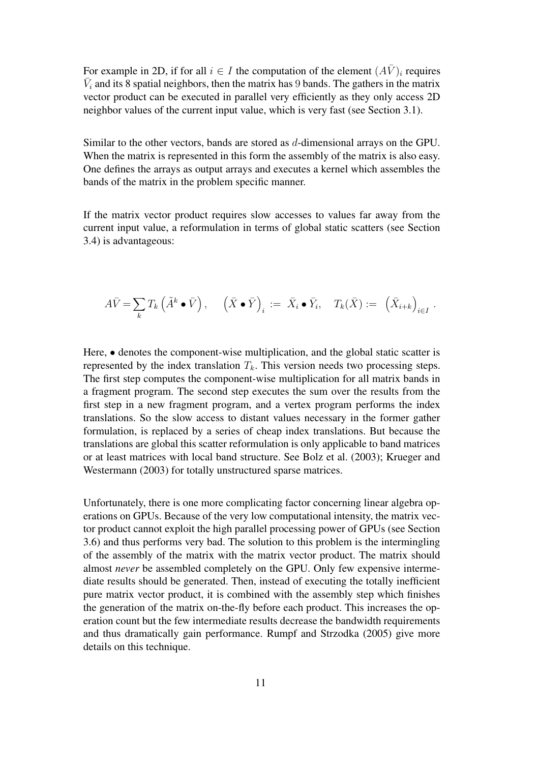For example in 2D, if for all  $i \in I$  the computation of the element  $(A\overline{V})_i$  requires  $\bar{V}_i$  and its 8 spatial neighbors, then the matrix has 9 bands. The gathers in the matrix vector product can be executed in parallel very efficiently as they only access 2D neighbor values of the current input value, which is very fast (see Section 3.1).

Similar to the other vectors, bands are stored as d-dimensional arrays on the GPU. When the matrix is represented in this form the assembly of the matrix is also easy. One defines the arrays as output arrays and executes a kernel which assembles the bands of the matrix in the problem specific manner.

If the matrix vector product requires slow accesses to values far away from the current input value, a reformulation in terms of global static scatters (see Section 3.4) is advantageous:

$$
A\bar{V} = \sum_{k} T_{k} \left( \tilde{A}^{k} \bullet \bar{V} \right), \quad \left( \bar{X} \bullet \bar{Y} \right)_{i} := \bar{X}_{i} \bullet \bar{Y}_{i}, \quad T_{k}(\bar{X}) := \left( \bar{X}_{i+k} \right)_{i \in I}.
$$

Here, • denotes the component-wise multiplication, and the global static scatter is represented by the index translation  $T_k$ . This version needs two processing steps. The first step computes the component-wise multiplication for all matrix bands in a fragment program. The second step executes the sum over the results from the first step in a new fragment program, and a vertex program performs the index translations. So the slow access to distant values necessary in the former gather formulation, is replaced by a series of cheap index translations. But because the translations are global this scatter reformulation is only applicable to band matrices or at least matrices with local band structure. See Bolz et al. (2003); Krueger and Westermann (2003) for totally unstructured sparse matrices.

Unfortunately, there is one more complicating factor concerning linear algebra operations on GPUs. Because of the very low computational intensity, the matrix vector product cannot exploit the high parallel processing power of GPUs (see Section 3.6) and thus performs very bad. The solution to this problem is the intermingling of the assembly of the matrix with the matrix vector product. The matrix should almost *never* be assembled completely on the GPU. Only few expensive intermediate results should be generated. Then, instead of executing the totally inefficient pure matrix vector product, it is combined with the assembly step which finishes the generation of the matrix on-the-fly before each product. This increases the operation count but the few intermediate results decrease the bandwidth requirements and thus dramatically gain performance. Rumpf and Strzodka (2005) give more details on this technique.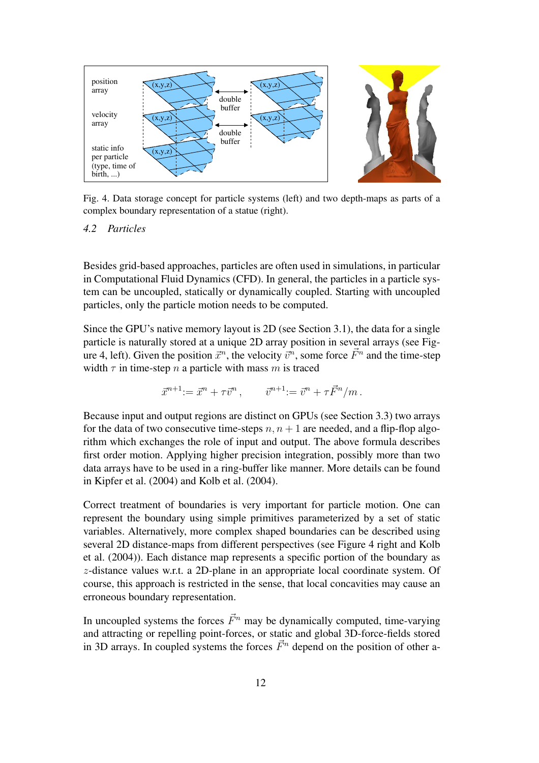

Fig. 4. Data storage concept for particle systems (left) and two depth-maps as parts of a complex boundary representation of a statue (right).

#### *4.2 Particles*

Besides grid-based approaches, particles are often used in simulations, in particular in Computational Fluid Dynamics (CFD). In general, the particles in a particle system can be uncoupled, statically or dynamically coupled. Starting with uncoupled particles, only the particle motion needs to be computed.

Since the GPU's native memory layout is 2D (see Section 3.1), the data for a single particle is naturally stored at a unique 2D array position in several arrays (see Figure 4, left). Given the position  $\vec{x}^n$ , the velocity  $\vec{v}^n$ , some force  $\vec{F}^n$  and the time-step width  $\tau$  in time-step n a particle with mass m is traced

$$
\vec{x}^{n+1} := \vec{x}^n + \tau \vec{v}^n, \qquad \vec{v}^{n+1} := \vec{v}^n + \tau \vec{F}^n / m.
$$

Because input and output regions are distinct on GPUs (see Section 3.3) two arrays for the data of two consecutive time-steps  $n, n + 1$  are needed, and a flip-flop algorithm which exchanges the role of input and output. The above formula describes first order motion. Applying higher precision integration, possibly more than two data arrays have to be used in a ring-buffer like manner. More details can be found in Kipfer et al. (2004) and Kolb et al. (2004).

Correct treatment of boundaries is very important for particle motion. One can represent the boundary using simple primitives parameterized by a set of static variables. Alternatively, more complex shaped boundaries can be described using several 2D distance-maps from different perspectives (see Figure 4 right and Kolb et al. (2004)). Each distance map represents a specific portion of the boundary as z-distance values w.r.t. a 2D-plane in an appropriate local coordinate system. Of course, this approach is restricted in the sense, that local concavities may cause an erroneous boundary representation.

In uncoupled systems the forces  $\vec{F}^n$  may be dynamically computed, time-varying and attracting or repelling point-forces, or static and global 3D-force-fields stored in 3D arrays. In coupled systems the forces  $F^{n}$  depend on the position of other a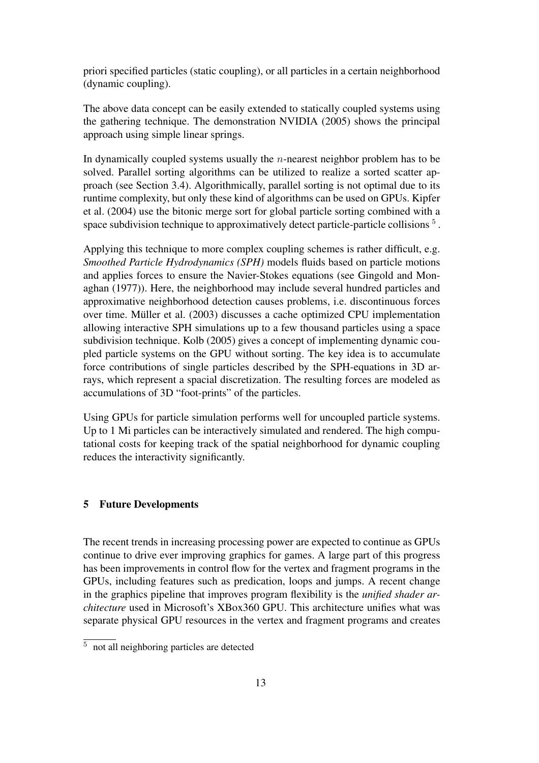priori specified particles (static coupling), or all particles in a certain neighborhood (dynamic coupling).

The above data concept can be easily extended to statically coupled systems using the gathering technique. The demonstration NVIDIA (2005) shows the principal approach using simple linear springs.

In dynamically coupled systems usually the n-nearest neighbor problem has to be solved. Parallel sorting algorithms can be utilized to realize a sorted scatter approach (see Section 3.4). Algorithmically, parallel sorting is not optimal due to its runtime complexity, but only these kind of algorithms can be used on GPUs. Kipfer et al. (2004) use the bitonic merge sort for global particle sorting combined with a space subdivision technique to approximatively detect particle-particle collisions  $5$ .

Applying this technique to more complex coupling schemes is rather difficult, e.g. *Smoothed Particle Hydrodynamics (SPH)* models fluids based on particle motions and applies forces to ensure the Navier-Stokes equations (see Gingold and Monaghan (1977)). Here, the neighborhood may include several hundred particles and approximative neighborhood detection causes problems, i.e. discontinuous forces over time. Müller et al. (2003) discusses a cache optimized CPU implementation allowing interactive SPH simulations up to a few thousand particles using a space subdivision technique. Kolb (2005) gives a concept of implementing dynamic coupled particle systems on the GPU without sorting. The key idea is to accumulate force contributions of single particles described by the SPH-equations in 3D arrays, which represent a spacial discretization. The resulting forces are modeled as accumulations of 3D "foot-prints" of the particles.

Using GPUs for particle simulation performs well for uncoupled particle systems. Up to 1 Mi particles can be interactively simulated and rendered. The high computational costs for keeping track of the spatial neighborhood for dynamic coupling reduces the interactivity significantly.

## **5 Future Developments**

The recent trends in increasing processing power are expected to continue as GPUs continue to drive ever improving graphics for games. A large part of this progress has been improvements in control flow for the vertex and fragment programs in the GPUs, including features such as predication, loops and jumps. A recent change in the graphics pipeline that improves program flexibility is the *unified shader architecture* used in Microsoft's XBox360 GPU. This architecture unifies what was separate physical GPU resources in the vertex and fragment programs and creates

<sup>5</sup> not all neighboring particles are detected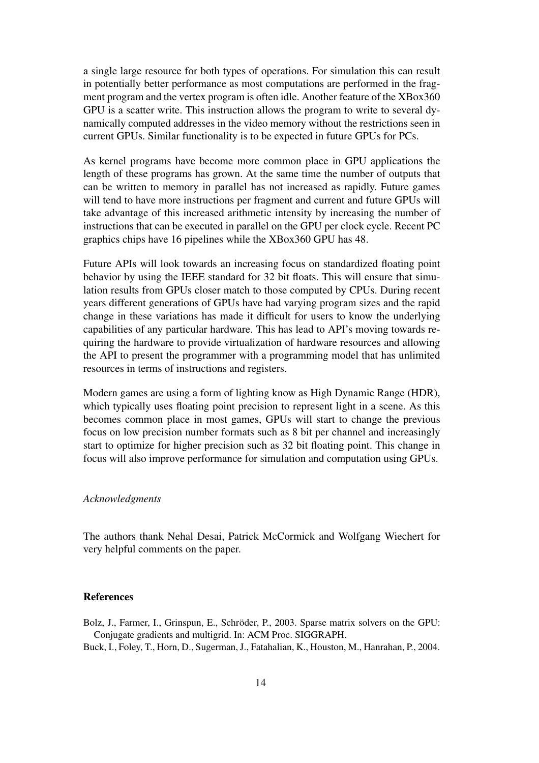a single large resource for both types of operations. For simulation this can result in potentially better performance as most computations are performed in the fragment program and the vertex program is often idle. Another feature of the XBox360 GPU is a scatter write. This instruction allows the program to write to several dynamically computed addresses in the video memory without the restrictions seen in current GPUs. Similar functionality is to be expected in future GPUs for PCs.

As kernel programs have become more common place in GPU applications the length of these programs has grown. At the same time the number of outputs that can be written to memory in parallel has not increased as rapidly. Future games will tend to have more instructions per fragment and current and future GPUs will take advantage of this increased arithmetic intensity by increasing the number of instructions that can be executed in parallel on the GPU per clock cycle. Recent PC graphics chips have 16 pipelines while the XBox360 GPU has 48.

Future APIs will look towards an increasing focus on standardized floating point behavior by using the IEEE standard for 32 bit floats. This will ensure that simulation results from GPUs closer match to those computed by CPUs. During recent years different generations of GPUs have had varying program sizes and the rapid change in these variations has made it difficult for users to know the underlying capabilities of any particular hardware. This has lead to API's moving towards requiring the hardware to provide virtualization of hardware resources and allowing the API to present the programmer with a programming model that has unlimited resources in terms of instructions and registers.

Modern games are using a form of lighting know as High Dynamic Range (HDR), which typically uses floating point precision to represent light in a scene. As this becomes common place in most games, GPUs will start to change the previous focus on low precision number formats such as 8 bit per channel and increasingly start to optimize for higher precision such as 32 bit floating point. This change in focus will also improve performance for simulation and computation using GPUs.

#### *Acknowledgments*

The authors thank Nehal Desai, Patrick McCormick and Wolfgang Wiechert for very helpful comments on the paper.

#### **References**

Bolz, J., Farmer, I., Grinspun, E., Schröder, P., 2003. Sparse matrix solvers on the GPU: Conjugate gradients and multigrid. In: ACM Proc. SIGGRAPH.

Buck, I., Foley, T., Horn, D., Sugerman, J., Fatahalian, K., Houston, M., Hanrahan, P., 2004.